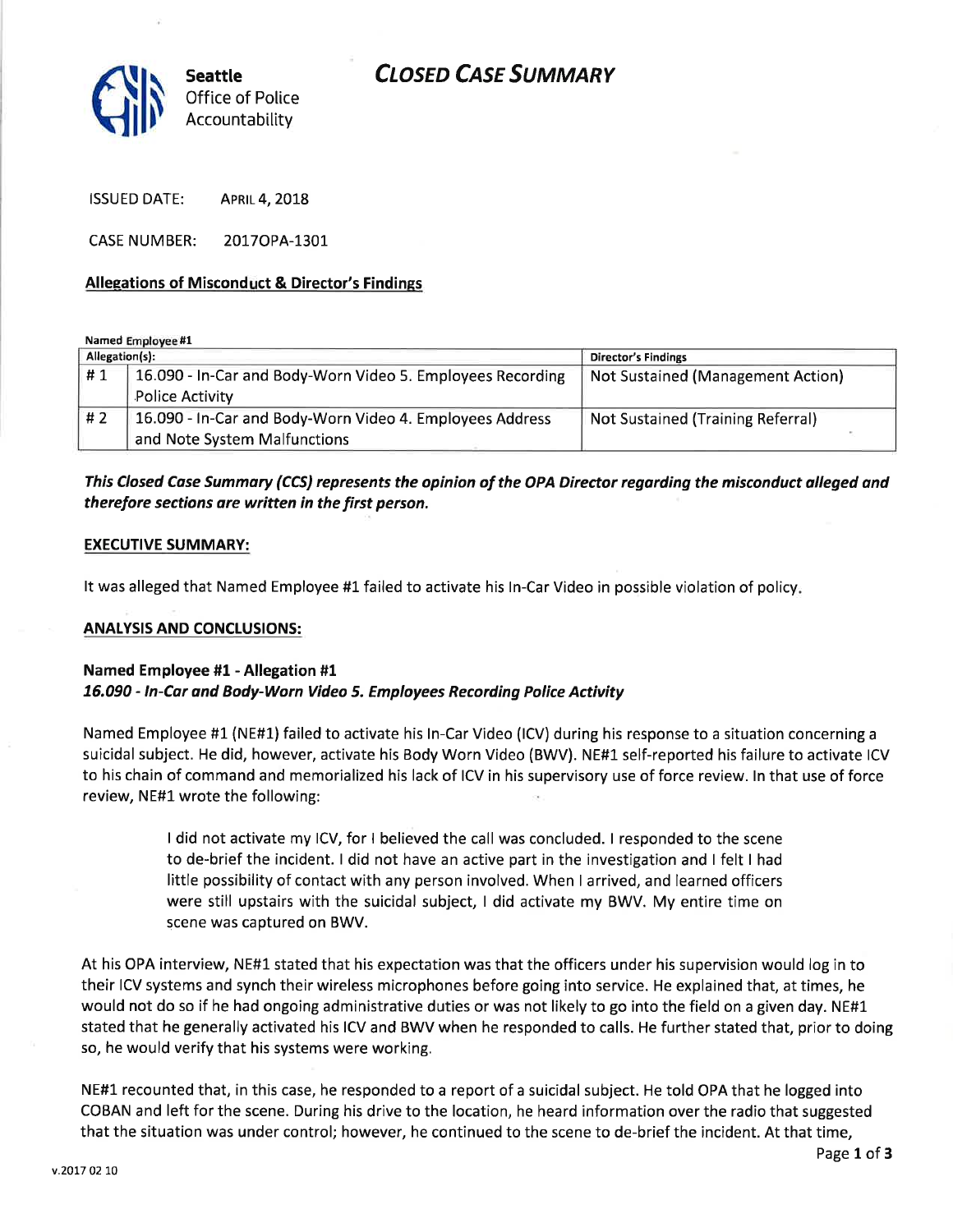# CLOSED CASE SUMMARY



ISSUED DATE: APRIL 4, 2018

CASE NUMBER: 20170PA-1301

# Allegations of Misconduct & Director's Findings

Named Employee #1

| Allegation(s): |                                                            | <b>Director's Findings</b>        |
|----------------|------------------------------------------------------------|-----------------------------------|
| #1             | 16.090 - In-Car and Body-Worn Video 5. Employees Recording | Not Sustained (Management Action) |
|                | <b>Police Activity</b>                                     |                                   |
| #2             | 16.090 - In-Car and Body-Worn Video 4. Employees Address   | Not Sustained (Training Referral) |
|                | and Note System Malfunctions                               |                                   |

# This Closed Case Summary (CCS) represents the opinion of the OPA Director regarding the misconduct alleged and therefore sections are written in the first person.

# EXECUTIVE SUMMARY:

It was alleged that Named Employee #1 failed to activate his ln-Car Video in possible violation of policy

# **ANALYSIS AND CONCLUSIONS:**

# Named Employee #1 - Allegation #1 76.090 - ln-Car and Body-Worn Video 5. Employees Recording Police Activity

Named Employee #1 (NE#1) failed to activate his ln-Car Video (lCV) during his response to a situation concerning <sup>a</sup> suicidal subject. He did, however, activate his Body Worn Video (BWV). NE#L self-reported his failure to activate ICV to his chain of command and memorialized his lack of ICV in his supervisory use of force review. ln that use of force review, NE#1 wrote the following:

> I did not activate my lCV, for I believed the call was concluded. I responded to the scene to de-brief the incident. I did not have an active part in the investigation and I felt I had little possibility of contact with any person involved. When I arrived, and learned officers were still upstairs with the suicidal subject, I did activate my BWV. My entire time on scene was captured on BWV.

At his OPA interview, NE#1 stated that his expectation was that the officers under his supervision would log in to their ICV systems and synch their wireless microphones before going into service. He explained that, at times, he would not do so if he had ongoing administrative duties or was not likely to go into the field on a given day. NE#1 stated that he generally activated his ICV and BWV when he responded to calls. He further stated that, prior to doing so, he would verify that his systems were working.

NE#1 recounted that, in this case, he responded to a report of a suicidal subject. He told OPA that he logged into COBAN and left for the scene. During his drive to the location, he heard information over the radio that suggested that the situation was under control; however, he continued to the scene to de-brief the incident. At that time,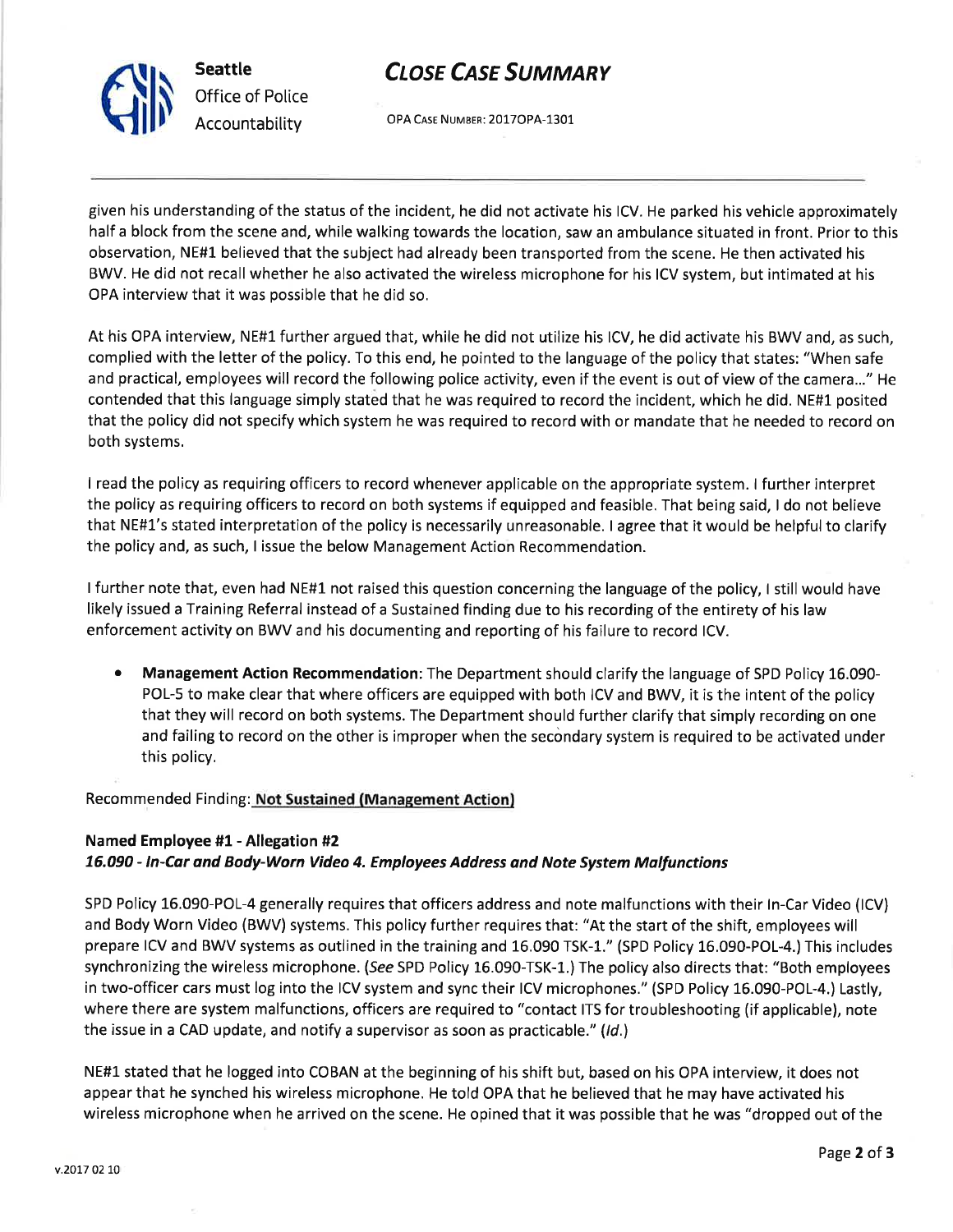Seattle Office of Police Accountability

Slr

# **CLOSE CASE SUMMARY**

OPA CASE NUMBER: 2017OPA-1301

given his understanding of the status of the incident, he did not activate his lCV. He parked his vehicle approximately half a block from the scene and, while walking towards the location, saw an ambulance situated in front. Prior to this observation, NE#l believed that the subject had already been transported from the scene. He then activated his BWV. He did not recall whether he also activated the wireless microphone for his ICV system, but intimated at his OPA interview that it was possible that he did so.

At his OPA interview, NE#1 further argued that, while he did not utilize his lCV, he did activate his BWV and, as such, complied with the letter of the policy. To this end, he pointed to the language of the policy that states: "When safe and practical, employees will record the following police activity, even if the event is out of view of the camera..." He contended that this language simply stated that he was required to record the incident, which he did. NE#1 posited that the policy did not specify which system he was required to record with or mandate that he needed to record on both systems.

I read the policy as requiring officers to record whenever applicable on the appropriate system. I further interpret the policy as requiring officers to record on both systems if equipped and feasible. That being said, I do not believe that NE#1's stated interpretation of the policy is necessarily unreasonable. I agree that it would be helpful to clarify the policy and, as such, I issue the below Management Action Recommendation.

I further note that, even had NE#1 not raised this question concerning the language of the policy, I still would have likely issued a Training Referral instead of a Sustained finding due to his recording of the entirety of his law enforcement activity on BWV and his documenting and reporting of his failure to record lCV.

• Management Action Recommendation: The Department should clarify the language of SPD Policy 16.090-POL-5 to make clear that where officers are equipped with both ICV and BWV, it is the intent of the policy that they will record on both systems. The Department should further clarify that simply recording on one and failing to record on the other is improper when the secondary system is required to be activated under this policy.

# Recommended Finding: Not Sustained (Management Action)

# Named Employee #1 - Allegation #2 76.090 - ln-Cdr and Body-Worn Video 4. Employees Address and Note System Mallunctions

SPD Policy 16.090-POL-4 generally requires that officers address and note malfunctions with their ln-Car Video (lCV) and Body Worn Video (BWV) systems. This policy further requires that: "At the start of the shift, employees will prepare ICV and BWV systems as outlined in the training and 16.090 TSK-l." (SPD Policy 16.090-POL-4.) This includes synchronizing the wireless microphone. (See SPD Policy 16.090-TSK-1.) The policy also directs that: "Both employees in two-officer cars must log into the ICV system and sync their ICV microphones." (SPD Policy 15.090-POL-4.) Lastly, where there are system malfunctions, officers are required to "contact ITS for troubleshooting (if applicable), note the issue in a CAD update, and notify a supervisor as soon as practicable." (Id.)

NE#1 stated that he logged into COBAN at the beginning of his shift but, based on his OPA interview, it does not appear that he synched his wireless microphone. He told OPA that he believed that he may have activated his wireless microphone when he arrived on the scene. He opined that it was possible that he was "dropped out of the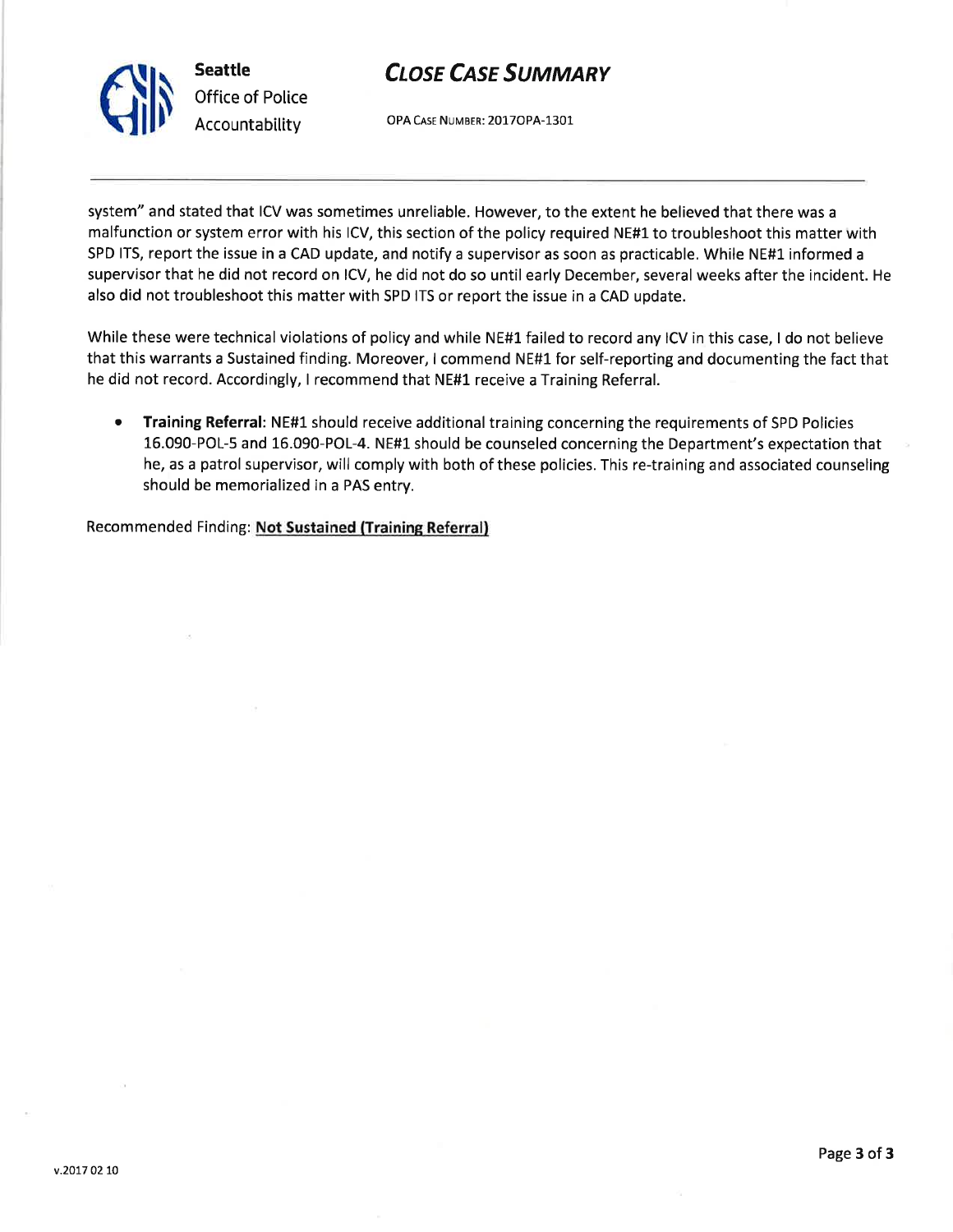

# **CLOSE CASE SUMMARY**

OPA CASE NUMBER: 2017OPA-1301

system" and stated that ICV was sometimes unreliable. However, to the extent he believed that there was <sup>a</sup> malfunction or system error with his lCV, this section of the policy required NE#1 to troubleshoot this matter with SPD ITS, report the issue in a CAD update, and notify a supervisor as soon as practicable. While NE#1 informed a supervisor that he did not record on lCV, he did not do so until early December, several weeks after the incident. He also did not troubleshoot this matter with SPD ITS or report the issue in a CAD update.

While these were technical violations of policy and while NE#1 failed to record any ICV in this case, I do not believe that this warrants a Sustained finding. Moreover, I commend NE#L for self-reporting and documenting the fact that he did not record. Accordingly, I recommend that NE#1 receive a Training Referral.

Training Referral: NE#1 should receive additional training concerning the requirements of SPD Policies 16.090-POL-5 and 16.090-POL-4. NE#L should be counseled concerning the Department's expectation that he, as a patrol supervisor, will comply with both of these policies. This re-training and associated counseling should be memorialized in a PAS entry. a

Recommended Finding: Not Sustained (Training Referral)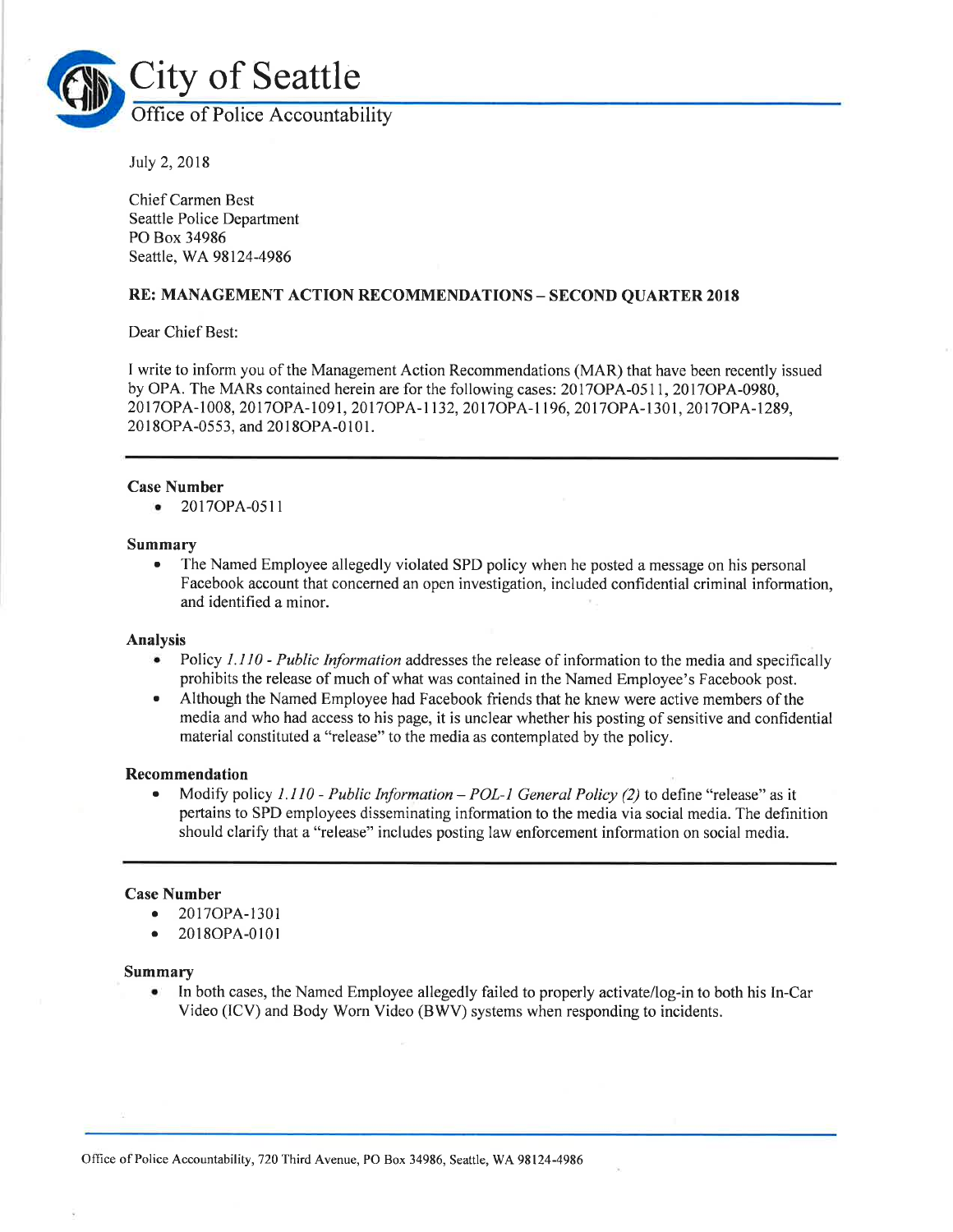

July 2,2018

Chief Carmen Best Seattle Police Department PO Box 34986 Seattle, WA 98124-4986

# RE: MANAGEMENT ACTION RECOMMENDATIONS - SECOND QUARTER <sup>2018</sup>

Dear Chief Best:

I write to inform you of the Management Action Recommendations (MAR) that have been recently issued by OPA. The MARs contained herein are for the following cases: 2017OPA-0511, 2017OPA-0980, 20l70PA-1008,20170PA-1091,20170PA-1132,20t7cpA-1196,2011oPA-1301,20170pA-1289, 2018OPA-0553, and 2018OPA-0101.

## Case Number

• 2017OPA-0511

#### Summary

• The Named Employee allegedly violated SPD policy when he posted a message on his personal Facebook account that concerned an open investigation, included confidential criminal information, and identified a minor.

#### Analysis

- Policy I.110 Public Information addresses the release of information to the media and specifically prohibits the release of much of what was contained in the Named Employee's Facebook post.
- r Although the Named Employee had Facebook friends that he knew were active members of the media and who had access to his page, it is unclear whether his posting of sensitive and confidential material constituted a "release" to the media as contemplated by the policy.

#### Recommendation

• Modify policy 1.110 - Public Information – POL-1 General Policy (2) to define "release" as it pertains to SPD employees disseminating information to the media via social media. The definition should clarify that a "release" includes posting law enforcement information on social media.

# Case Number

- o 2017OPA-1301
- 2018OPA-0101

#### Summary

. In both cases, the Named Employee allegedly failed to properly activate/log-in to both his In-Car Video (lCV) and Body Worn Video (BWV) systems when responding to incidents.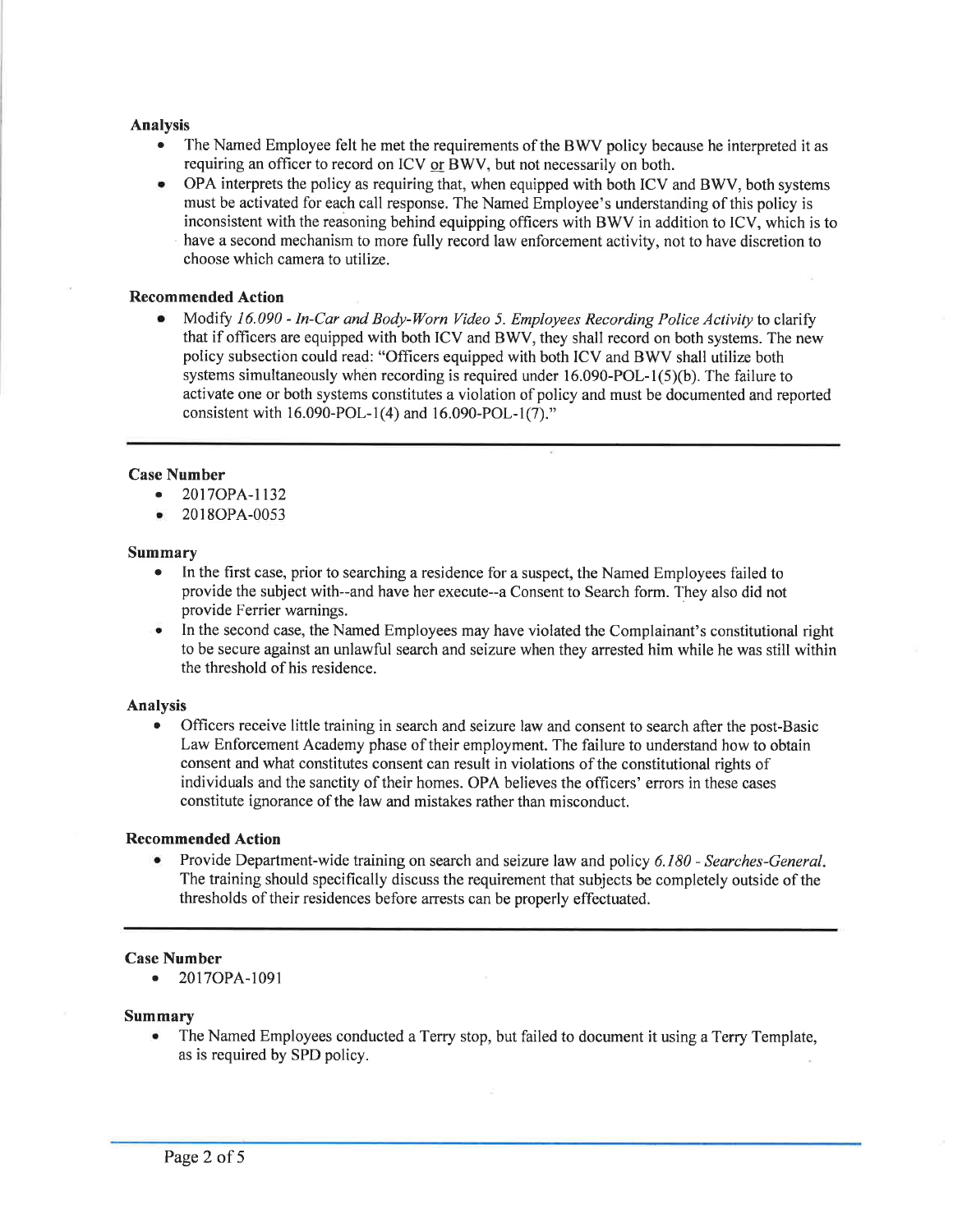### Analysis

- The Named Employee felt he met the requirements of the BWV policy because he interpreted it as requiring an officer to record on ICV or BWV, but not necessarily on both.
- o OPA interprets the policy as requiring that, when equipped with both ICV and BWV, both systems must be activated for each call response. The Named Employee's understanding of this policy is inconsistent with the reasoning behind equipping officers with BWV in addition to ICV, which is to have a second mechanism to more fully record law enforcement activity, not to have discretion to choose which camera to utilize.

### Recommended Action

• Modify 16.090 - In-Car and Body-Worn Video 5. Employees Recording Police Activity to clarify that if officers are equipped with both ICV and BWV, they shall record on both systems. The new policy subsection could read: "Officers equipped with both ICV and BWV shall utilize both systems simultaneously when recording is required under  $16.090\text{-}POL-1(5)(b)$ . The failure to activate one or both systems constitutes a violation of policy and must be documented and reported consistent with 16.090-POL-1(4) and 16.090-POL-l(7)."

## Case Number

- . 2017OPA-1132
- $2018OPA-0053$

#### Summary

- In the first case, prior to searching a residence for a suspect, the Named Employees failed to provide the subject with--and have her execute--a Consent to Search form. They also did not provide Ferrier warnings.
- In the second case, the Named Employees may have violated the Complainant's constitutional right to be secure against an unlawful search and seizure when they arrested him while he was still within the threshold of his residence.

#### Analysis

Officers receive little training in search and seizure law and consent to search after the post-Basic Law Enforcement Academy phase of their employment. The failure to understand how to obtain consent and what constitutes consent can result in violations of the constitutional rights of individuals and the sanctity of their homes. OPA believes the officers' errors in these cases constitute ignorance of the law and mistakes rather than misconduct.

#### Recommended Action

Provide Department-wide training on search and seizure law and policy 6.180 - Searches-General. The training should specifically discuss the requirement that subjects be completely outside of the thresholds of their residences before arrests can be properly effectuated.

#### Case Number

o 20I7OPA-1091

#### Summary

. The Named Employees conducted a Terry stop, but failed to document it using a Terry Template, as is required by SPD policy.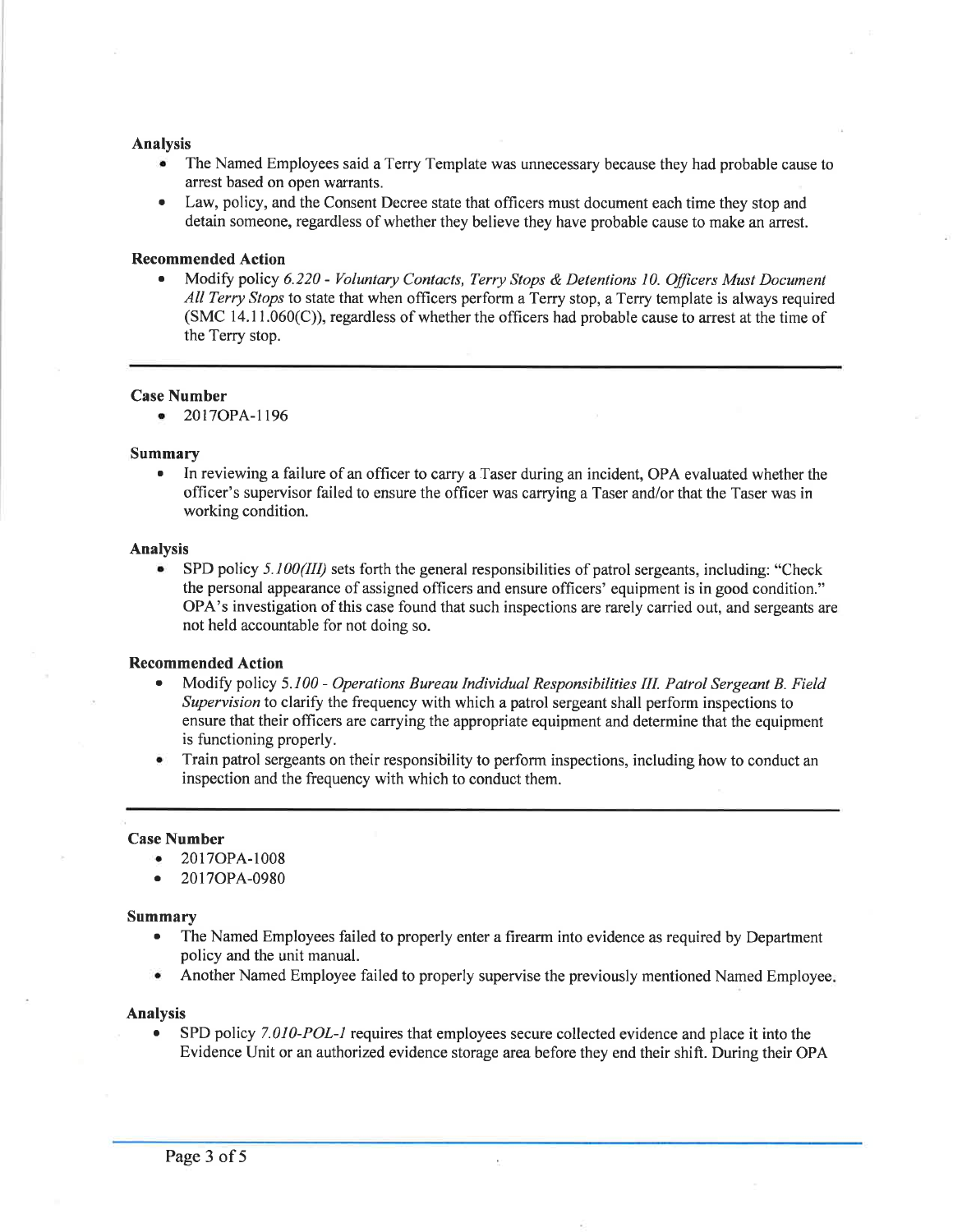#### Analysis

- The Named Employees said a Terry Template was unnecessary because they had probable cause to arrest based on open warrants.
- Law, policy, and the Consent Decree state that officers must document each time they stop and detain someone, regardless of whether they believe they have probable cause to make an arrest.

#### Recommended Action

Modify policy 6.220 - Voluntary Contacts, Terry Stops & Detentions 10. Officers Must Document All Terry Stops to state that when officers perform a Terry stop, a Terry template is always required  $(SMC 14.11.060(C))$ , regardless of whether the officers had probable cause to arrest at the time of the Terry stop.

#### Case Number

o 2017OPA-I196

#### Summary

. In reviewing a failure of an officer to carry a Taser during an incident, OPA evaluated whether the officer's supervisor failed to ensure the officer was carrying a Taser and/or that the Taser was in working condition.

#### Analysis

• SPD policy  $5.100(III)$  sets forth the general responsibilities of patrol sergeants, including: "Check the personal appearance of assigned officers and ensure officers' equipment is in good condition." OPA's investigation of this case found that such inspections are rarely carried out, and sergeants are not held accountable for not doing so.

#### Recommended Action

- Modify policy 5.100 Operations Bureau Individual Responsibilities III. Patrol Sergeant B. Field Supervision to clarify the frequency with which a patrol sergeant shall perform inspections to ensure that their officers are carrying the appropriate equipment and determine that the equipment is functioning properly.
- . Train patrol sergeants on their responsibility to perform inspections, including how to conduct an inspection and the frequency with which to conduct them.

#### Case Number

- . 2017OPA-1008
- o 20I7OPA-0980

#### Summary

- . The Named Employees failed to properly enter a firearm into evidence as required by Department policy and the unit manual.
- Another Named Employee failed to properly supervise the previously mentioned Named Employee.

#### Analysis

SPD policy 7.010-POL-1 requires that employees secure collected evidence and place it into the Evidence Unit or an authorized evidence storage area before they end their shift. During their OPA

 $\bar{a}$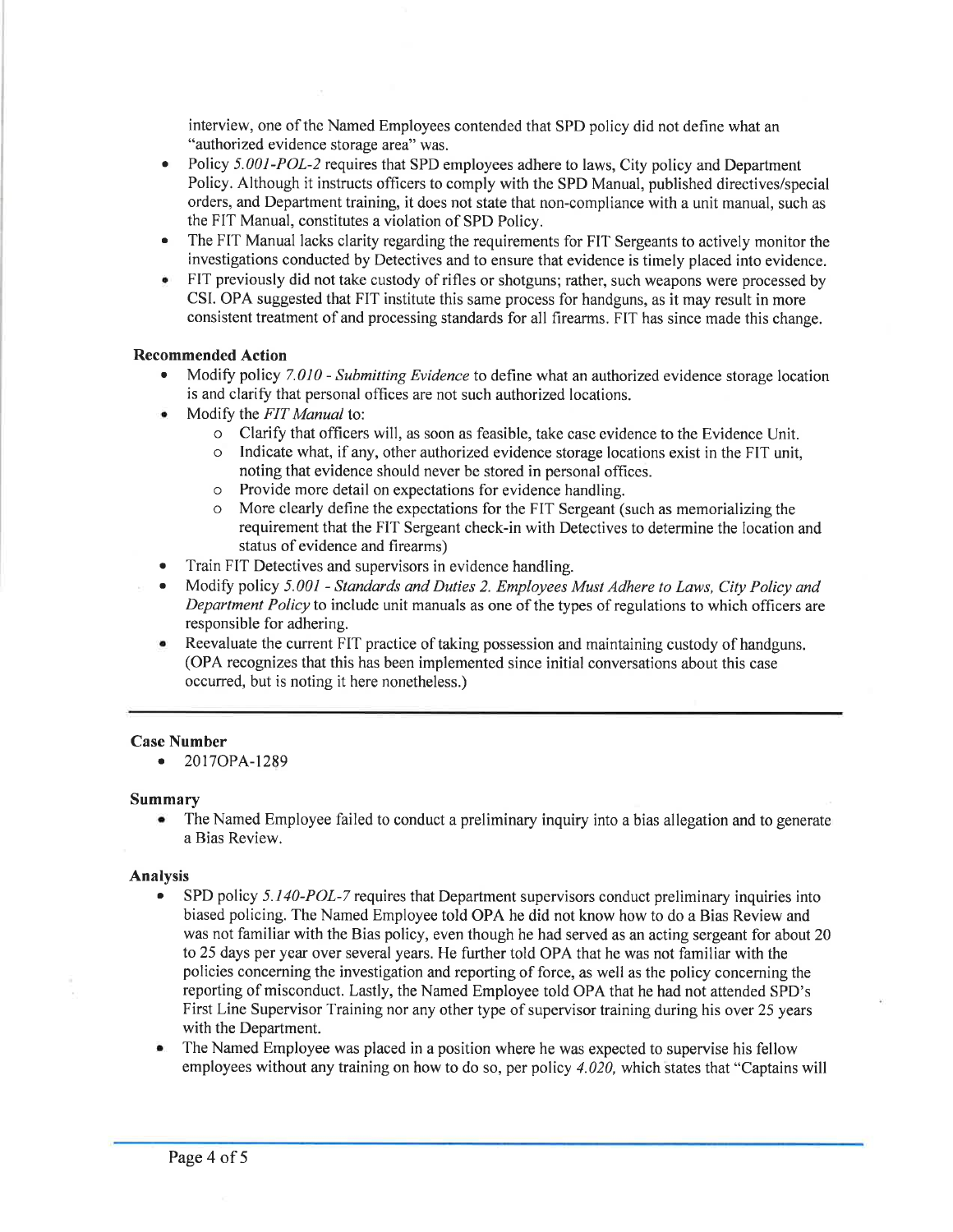interview, one of the Named Employees contended that SPD policy did not define what an "authorized evidence storage area" was.

- Policy 5.001-POL-2 requires that SPD employees adhere to laws, City policy and Department Policy. Although it instructs officers to comply with the SPD Manual, published directives/special orders, and Department training, it does not state that non-compliance with a unit manual, such as the FIT Manual, constitutes a violation of SPD Policy. a
- The FIT Manual lacks clarity regarding the requirements for FIT Sergeants to actively monitor the investigations conducted by Detectives and to ensure that evidence is timely placed into evidence. a
- FIT previously did not take custody of rifles or shotguns; rather, such weapons were processed by CSI. OPA suggested that FIT institute this same process for handguns, as it may result in more consistent treatment of and processing standards for all firearms. FIT has since made this change. a

## Recommended Action

- Modify policy 7.010 Submitting Evidence to define what an authorized evidence storage location is and clarify that personal offices are not such authorized locations.
- Modify the FIT Manual to:
	- o Clarify that officers will, as soon as feasible, take case evidence to the Evidence Unit.
	- o Indicate what, if any, other authorized evidence storage locations exist in the FIT unit, noting that evidence should never be stored in personal offices.
	- o Provide more detail on expectations for evidence handling.
	- o More clearly define the expectations for the FIT Sergeant (such as memorializing the requirement that the FIT Sergeant check-in with Detectives to determine the location and status of evidence and firearms)
- Train FIT Detectives and supervisors in evidence handling.
- . Modify policy 5.001 Standards and Duties 2. Employees Must Adhere to Laws, City Policy and Department Policy to include unit manuals as one of the types of regulations to which officers are responsible for adhering.
- o Reevaluate the current FIT practice of taking possession and maintaining custody of handguns. (OPA recognizes that this has been implemented since initial conversations about this case occurred, but is noting it here nonetheless.)

# Case Number

o 2017OPA-1289

# Summary

. The Named Employee failed to conduct a preliminary inquiry into a bias allegation and to generate a Bias Review.

#### Analysis

- SPD policy 5.140-POL-7 requires that Department supervisors conduct preliminary inquiries into biased policing. The Named Employee told OPA he did not know how to do a Bias Review and was not familiar with the Bias policy, even though he had served as an acting sergeant for about 20 to 25 days per year over several years. He further told OPA that he was not familiar with the policies concerning the investigation and reporting of force, as well as the policy conceming the reporting of misconduct. Lastly, the Named Employee told OPA that he had not attended SPD's First Line Supervisor Training nor any other type of supervisor training during his over 25 years with the Department.
- . The Named Employee was placed in a position where he was expected to supervise his fellow employees without any training on how to do so, per policy 4.020, which states that "Captains will